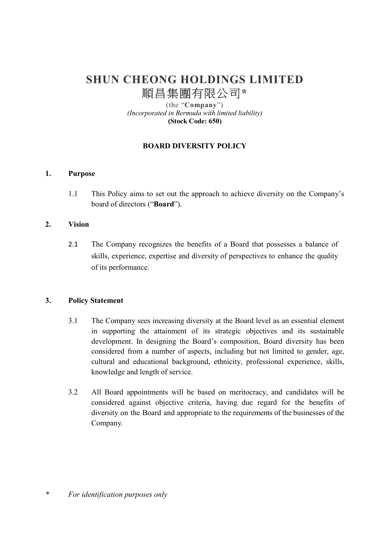# **SHUN CHEONG HOLDINGS LIMITED**  順昌集團有限公司**\***

(the "**Company**") *(Incorporated in Bermuda with limited liability)*  **(Stock Code: 650)** 

# **BOARD DIVERSITY POLICY**

## **1. Purpose**

1.1 This Policy aims to set out the approach to achieve diversity on the Company's board of directors ("**Board**").

## **2. Vision**

2.1 The Company recognizes the benefits of a Board that possesses a balance of skills, experience, expertise and diversity of perspectives to enhance the quality of its performance.

#### **3. Policy Statement**

- 3.1 The Company sees increasing diversity at the Board level as an essential element in supporting the attainment of its strategic objectives and its sustainable development. In designing the Board's composition, Board diversity has been considered from a number of aspects, including but not limited to gender, age, cultural and educational background, ethnicity, professional experience, skills, knowledge and length of service.
- 3.2 All Board appointments will be based on meritocracy, and candidates will be considered against objective criteria, having due regard for the benefits of diversity on the Board and appropriate to the requirements of the businesses of the Company.

*\* For identification purposes only*